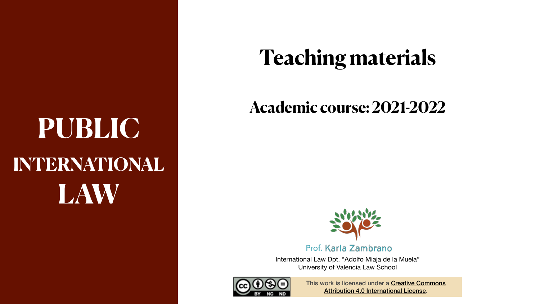# **PUBLIC INTERNATIONAL LAW**



## **Teaching materials**

## **Academic course: 2021-2022**



### Prof. Karla Zambrano

International Law Dpt. "Adolfo Miaja de la Muela" University of Valencia Law School

> This [work is licensed under a](https://creativecommons.org/licenses/by/4.0/) **Creative Commons** [Attribution 4.0 International License](https://creativecommons.org/licenses/by/4.0/).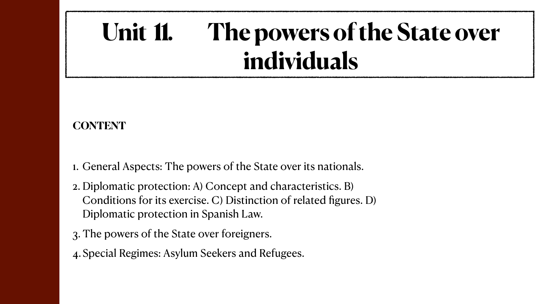# **Unit 11. The powers of the State over individuals**

### **CONTENT**

- 1. General Aspects: The powers of the State over its nationals.
- 2. Diplomatic protection: A) Concept and characteristics. B) Conditions for its exercise. C) Distinction of related figures. D) Diplomatic protection in Spanish Law.
- 3. The powers of the State over foreigners.
- 4.Special Regimes: Asylum Seekers and Refugees.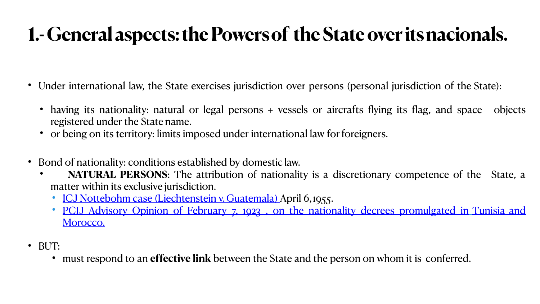## **1.- General aspects: the Powersof the State over itsnacionals.**

- Under international law, the State exercises jurisdiction over persons (personal jurisdiction of the State):
	- registered under the State name.
	- having its nationality: natural or legal persons + vessels or aircrafts flying its flag, and space objects • or being on its territory: limits imposed under international law for foreigners.
- Bond of nationality: conditions established by domestic law. • **NATURAL PERSONS**: The attribution of nationality is a discretionary competence of the State, a
	- matter within its exclusive jurisdiction.
		- [ICJ Nottebohm case \(Liechtenstein v. Guatemala\)](https://www.icj-cij.org/public/files/case-related/18/018-19550406-JUD-01-00-EN.pdf) [Ap](https://www.icj-cij.org/public/files/permanent-court-of-international-justice/serie_B/B_04/Decrets_de_nationalite_promulgues_en_Tunisie_et_au_Maroc_Avis_consultatif_1.pdf)ril [6](https://www.icj-cij.org/public/files/permanent-court-of-international-justice/serie_B/B_04/Decrets_de_nationalite_promulgues_en_Tunisie_et_au_Maroc_Avis_consultatif_1.pdf),1955. • [PCIJ](https://www.icj-cij.org/public/files/permanent-court-of-international-justice/serie_B/B_04/Decrets_de_nationalite_promulgues_en_Tunisie_et_au_Maroc_Avis_consultatif_1.pdf) [Advisory](https://www.icj-cij.org/public/files/permanent-court-of-international-justice/serie_B/B_04/Decrets_de_nationalite_promulgues_en_Tunisie_et_au_Maroc_Avis_consultatif_1.pdf) [Opinion](https://www.icj-cij.org/public/files/permanent-court-of-international-justice/serie_B/B_04/Decrets_de_nationalite_promulgues_en_Tunisie_et_au_Maroc_Avis_consultatif_1.pdf) [of](https://www.icj-cij.org/public/files/permanent-court-of-international-justice/serie_B/B_04/Decrets_de_nationalite_promulgues_en_Tunisie_et_au_Maroc_Avis_consultatif_1.pdf) [February](https://www.icj-cij.org/public/files/permanent-court-of-international-justice/serie_B/B_04/Decrets_de_nationalite_promulgues_en_Tunisie_et_au_Maroc_Avis_consultatif_1.pdf) [7,](https://www.icj-cij.org/public/files/permanent-court-of-international-justice/serie_B/B_04/Decrets_de_nationalite_promulgues_en_Tunisie_et_au_Maroc_Avis_consultatif_1.pdf) [1923](https://www.icj-cij.org/public/files/permanent-court-of-international-justice/serie_B/B_04/Decrets_de_nationalite_promulgues_en_Tunisie_et_au_Maroc_Avis_consultatif_1.pdf)[,](https://www.icj-cij.org/public/files/permanent-court-of-international-justice/serie_B/B_04/Decrets_de_nationalite_promulgues_en_Tunisie_et_au_Maroc_Avis_consultatif_1.pdf) [on](https://www.icj-cij.org/public/files/permanent-court-of-international-justice/serie_B/B_04/Decrets_de_nationalite_promulgues_en_Tunisie_et_au_Maroc_Avis_consultatif_1.pdf) [the](https://www.icj-cij.org/public/files/permanent-court-of-international-justice/serie_B/B_04/Decrets_de_nationalite_promulgues_en_Tunisie_et_au_Maroc_Avis_consultatif_1.pdf) [nationality](https://www.icj-cij.org/public/files/permanent-court-of-international-justice/serie_B/B_04/Decrets_de_nationalite_promulgues_en_Tunisie_et_au_Maroc_Avis_consultatif_1.pdf) [decrees](https://www.icj-cij.org/public/files/permanent-court-of-international-justice/serie_B/B_04/Decrets_de_nationalite_promulgues_en_Tunisie_et_au_Maroc_Avis_consultatif_1.pdf) [promulgated](https://www.icj-cij.org/public/files/permanent-court-of-international-justice/serie_B/B_04/Decrets_de_nationalite_promulgues_en_Tunisie_et_au_Maroc_Avis_consultatif_1.pdf) [in](https://www.icj-cij.org/public/files/permanent-court-of-international-justice/serie_B/B_04/Decrets_de_nationalite_promulgues_en_Tunisie_et_au_Maroc_Avis_consultatif_1.pdf) [Tunisia and](https://www.icj-cij.org/public/files/permanent-court-of-international-justice/serie_B/B_04/Decrets_de_nationalite_promulgues_en_Tunisie_et_au_Maroc_Avis_consultatif_1.pdf)
		- [Morocco.](https://www.icj-cij.org/public/files/permanent-court-of-international-justice/serie_B/B_04/Decrets_de_nationalite_promulgues_en_Tunisie_et_au_Maroc_Avis_consultatif_1.pdf)
- BUT:
	- must respond to an **effective link** between the State and the person on whom it is conferred.

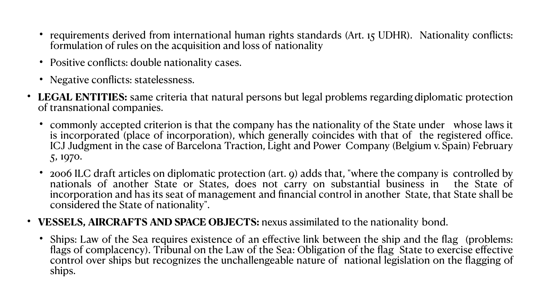• 2006 ILC draft articles on diplomatic protection (art. 9) adds that, "where the company is controlled by nationals of another State or States, does not carry on substantial business in the State of incorporation and has its seat of management and financial control in another State, that State shall be

• commonly accepted criterion is that the company has the nationality of the State under whose laws it is incorporated (place of incorporation), which generally coincides with that of the registered office. ICJ Judgment in the case of Barcelona Traction, Light and Power Company (Belgium v. Spain) February

- formulation of rules on the acquisition and loss of nationality
- Positive conflicts: double nationality cases.
- Negative conflicts: statelessness.
- of transnational companies.
	- 5, 1970.
	- considered the State of nationality".

### • **VESSELS, AIRCRAFTS AND SPACE OBJECTS:** nexus assimilated to the nationality bond.

• Ships: Law of the Sea requires existence of an effective link between the ship and the flag (problems: flags of complacency). Tribunal on the Law of the Sea: Obligation of the flag State to exercise effective control over ships but recognizes the unchallengeable nature of national legislation on the flagging of







ships.

• requirements derived from international human rights standards (Art. 15 UDHR). Nationality conflicts:

• LEGAL ENTITIES: same criteria that natural persons but legal problems regarding diplomatic protection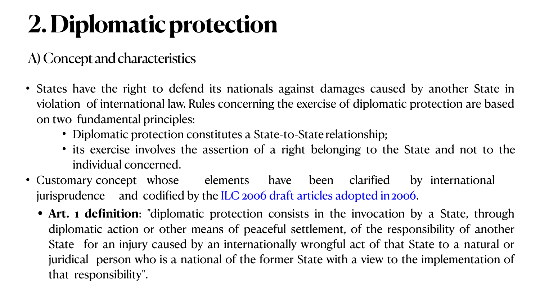• **Art. 1 definition**: "diplomatic protection consists in the invocation by a State, through diplomatic action or other means of peaceful settlement, of the responsibility of another State for an injury caused by an internationally wrongful act of that State to a natural or juridical person who is a national of the former State with a view to the implementation of





- States have the right to defend its nationals against damages caused by another State in violation of international law. Rules concerning the exercise of diplomatic protection are based on two fundamental principles:
	- Diplomatic protection constitutes a State-to-State relationship; • its exercise involves the assertion of a right belonging to the State and not to the
	- individual concerned.
- jurisprudence and codified by the <u>ILC 2006 draft articles adopted in 2006</u>.
	- that responsibility".

• Customary concept whose elements have been clarified by international

# **2. Diplomatic protection**

### A) Concept and characteristics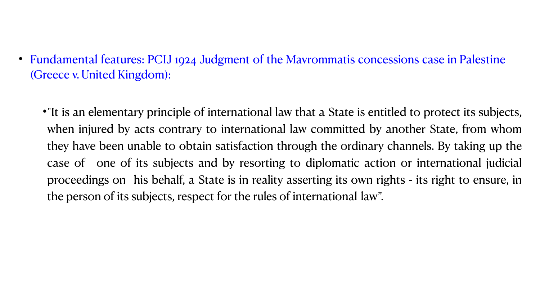•"It is an elementary principle of international law that a State is entitled to protect its subjects, when injured by acts contrary to international law committed by another State, from whom they have been unable to obtain satisfaction through the ordinary channels. By taking up the case of one of its subjects and by resorting to diplomatic action or international judicial proceedings on his behalf, a State is in reality asserting its own rights - its right to ensure, in



- [\(Greece v. United](https://www.icj-cij.org/public/files/permanent-court-of-international-justice/serie_A/A_02/06_Mavrommatis_en_Palestine_Arret.pdf) [Kingdom\):](https://www.icj-cij.org/public/files/permanent-court-of-international-justice/serie_A/A_02/06_Mavrommatis_en_Palestine_Arret.pdf)
	- the person of its subjects, respect for the rules of international law".

• [Fundamental](https://www.icj-cij.org/public/files/permanent-court-of-international-justice/serie_A/A_02/06_Mavrommatis_en_Palestine_Arret.pdf) [features:](https://www.icj-cij.org/public/files/permanent-court-of-international-justice/serie_A/A_02/06_Mavrommatis_en_Palestine_Arret.pdf) [PCIJ](https://www.icj-cij.org/public/files/permanent-court-of-international-justice/serie_A/A_02/06_Mavrommatis_en_Palestine_Arret.pdf) [1924](https://www.icj-cij.org/public/files/permanent-court-of-international-justice/serie_A/A_02/06_Mavrommatis_en_Palestine_Arret.pdf) [Judgment](https://www.icj-cij.org/public/files/permanent-court-of-international-justice/serie_A/A_02/06_Mavrommatis_en_Palestine_Arret.pdf) [of](https://www.icj-cij.org/public/files/permanent-court-of-international-justice/serie_A/A_02/06_Mavrommatis_en_Palestine_Arret.pdf) [the](https://www.icj-cij.org/public/files/permanent-court-of-international-justice/serie_A/A_02/06_Mavrommatis_en_Palestine_Arret.pdf) [Mavrommatis](https://www.icj-cij.org/public/files/permanent-court-of-international-justice/serie_A/A_02/06_Mavrommatis_en_Palestine_Arret.pdf) [concessions](https://www.icj-cij.org/public/files/permanent-court-of-international-justice/serie_A/A_02/06_Mavrommatis_en_Palestine_Arret.pdf) [case](https://www.icj-cij.org/public/files/permanent-court-of-international-justice/serie_A/A_02/06_Mavrommatis_en_Palestine_Arret.pdf) [in](https://www.icj-cij.org/public/files/permanent-court-of-international-justice/serie_A/A_02/06_Mavrommatis_en_Palestine_Arret.pdf) Palestine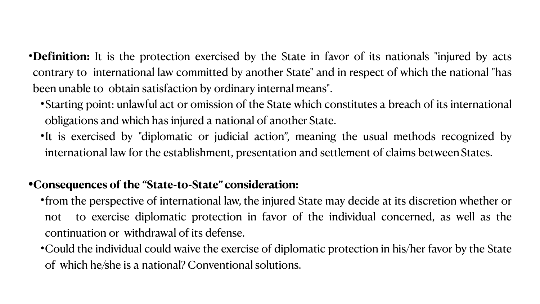- •**Definition:** It is the protection exercised by the State in favor of its nationals "injured by acts contrary to international law committed by another State" and in respect of which the national "has been unable to obtain satisfaction by ordinary internal means".
	- •Starting point: unlawful act or omission of the State which constitutes a breach of its international obligations and which has injured a national of another State.
	- •It is exercised by "diplomatic or judicial action", meaning the usual methods recognized by international law for the establishment, presentation and settlement of claims between States.

### **•Consequences of the "State-to-State" consideration:**

- •from the perspective of international law, the injured State may decide at its discretion whether or not to exercise diplomatic protection in favor of the individual concerned, as well as the continuation or withdrawal of its defense.
- •Could the individual could waive the exercise of diplomatic protection in his/her favor by the State of which he/she is a national? Conventional solutions.

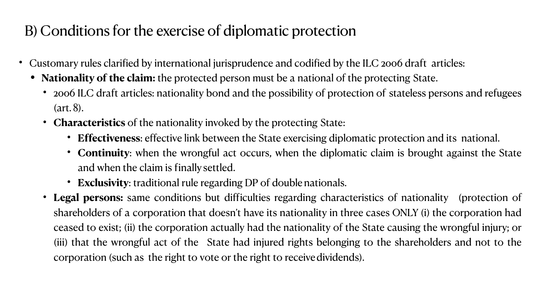• **Effectiveness**: effective link between the State exercising diplomatic protection and its national. • **Continuity**: when the wrongful act occurs, when the diplomatic claim is brought against the State

- Customary rules clarified by international jurisprudence and codified by the ILC 2006 draft articles:
	- **• Nationality of the claim:** the protected person must be a national of the protecting State.
		- (art. 8).
		- **Characteristics** of the nationality invoked by the protecting State:
			-
			- and when the claim is finallysettled.
			- **Exclusivity**: traditional rule regarding DP of doublenationals.
		- corporation (such as the right to vote or the right to receivedividends).

• 2006 ILC draft articles: nationality bond and the possibility of protection of stateless persons and refugees

• **Legal persons:** same conditions but difficulties regarding characteristics of nationality (protection of shareholders of a corporation that doesn't have its nationality in three cases ONLY (i) the corporation had ceased to exist; (ii) the corporation actually had the nationality of the State causing the wrongful injury; or (iii) that the wrongful act of the State had injured rights belonging to the shareholders and not to the



## B) Conditions for the exercise of diplomatic protection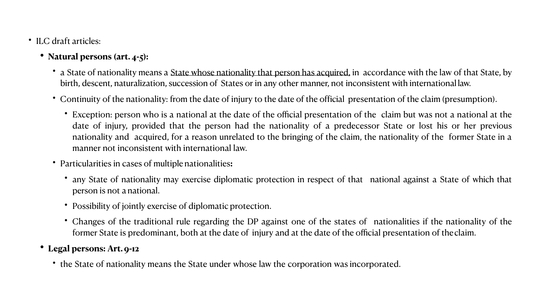• a State of nationality means a <u>State whose nationality that person has acquired</u>, in accordance with the law of that State, by birth, descent, naturalization, succession of States or in any other manner, not inconsistent with international law.

• Continuity of the nationality: from the date of injury to the date of the official presentation of the claim (presumption).

• Exception: person who is a national at the date of the official presentation of the claim but was not a national at the date of injury, provided that the person had the nationality of a predecessor State or lost his or her previous nationality and acquired, for a reason unrelated to the bringing of the claim, the nationality of the former State in a

• any State of nationality may exercise diplomatic protection in respect of that national against a State of which that

- ILC draft articles:
	- **• Natural persons (art. 4-5):**
		-
		- - manner not inconsistent with international law.
		- Particularities in cases of multiple nationalities**:**
			- person is not anational.
			- Possibility of jointly exercise of diplomatic protection.
			-
	- **• Legal persons: Art.9-12** 
		- the State of nationality means the State under whose law the corporation was incorporated.

• Changes of the traditional rule regarding the DP against one of the states of nationalities if the nationality of the former State is predominant, both at the date of injury and at the date of the official presentation of theclaim.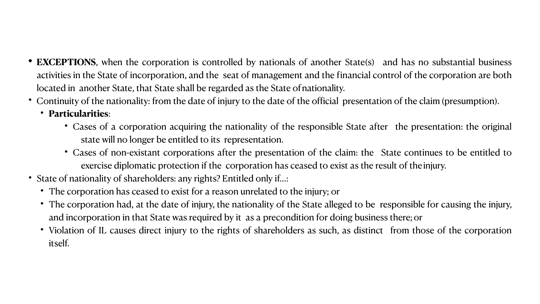**• EXCEPTIONS**, when the corporation is controlled by nationals of another State(s) and has no substantial business activities in the State of incorporation, and the seat of management and the financial control of the corporation are both

• Continuity of the nationality: from the date of injury to the date of the official presentation of the claim (presumption).

• Cases of a corporation acquiring the nationality of the responsible State after the presentation: the original

- located in another State, that State shall be regarded as the State of nationality.
- - **Particularities**:
		- state will no longer be entitled to its representation.
		-
- State of nationality of shareholders: any rights? Entitled only if...:
	- The corporation has ceased to exist for a reason unrelated to the injury; or
	- and incorporation in that State was required by it as a precondition for doing business there;or
	- itself.

• Cases of non-existant corporations after the presentation of the claim: the State continues to be entitled to exercise diplomatic protection if the corporation has ceased to exist as the result of theinjury.

• The corporation had, at the date of injury, the nationality of the State alleged to be responsible for causing the injury,

• Violation of IL causes direct injury to the rights of shareholders as such, as distinct from those of the corporation





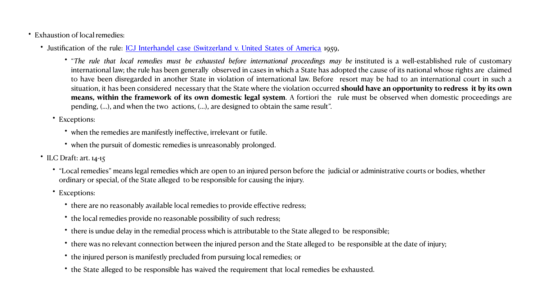• "The rule that local remedies must be exhausted before international proceedings may be instituted is a well-established rule of customary international law; the rule has been generally observed in cases in which a State has adopted the cause of its national whose rights are claimed to have been disregarded in another State in violation of international law. Before resort may be had to an international court in such a situation, it has been considered necessary that the State where the violation occurred **should have an opportunity to redress it by its own means, within the framework of its own domestic legal system**. A fortiori the rule must be observed when domestic proceedings are

- Exhaustion of local remedies:
	- Justification [of](https://www.icj-cij.org/public/files/case-related/34/034-19590321-JUD-01-00-EN.pdf) the rule: *[ICJ](https://www.icj-cij.org/public/files/case-related/34/034-19590321-JUD-01-00-EN.pdf) [Interhandel](https://www.icj-cij.org/public/files/case-related/34/034-19590321-JUD-01-00-EN.pdf) [case](https://www.icj-cij.org/public/files/case-related/34/034-19590321-JUD-01-00-EN.pdf) [\(Switzerland](https://www.icj-cij.org/public/files/case-related/34/034-19590321-JUD-01-00-EN.pdf) [v.](https://www.icj-cij.org/public/files/case-related/34/034-19590321-JUD-01-00-EN.pdf) [United](https://www.icj-cij.org/public/files/case-related/34/034-19590321-JUD-01-00-EN.pdf) [States](https://www.icj-cij.org/public/files/case-related/34/034-19590321-JUD-01-00-EN.pdf) of [America](https://www.icj-cij.org/public/files/case-related/34/034-19590321-JUD-01-00-EN.pdf)* 1959,
		- pending, (…), and when the two actions, (…), are designed to obtain the same result".
		- Exceptions:
			- when the remedies are manifestly ineffective, irrelevant or futile.
			- when the pursuit of domestic remedies is unreasonably prolonged.
	- ILC Draft: art. 14-15
		- ordinary or special, of the State alleged to be responsible for causing the injury.
		- Exceptions:
			- there are no reasonably available local remedies to provide effective redress;
			- the local remedies provide no reasonable possibility of such redress;
			- there is undue delay in the remedial process which is attributable to the State alleged to be responsible;
			-
			- the injured person is manifestly precluded from pursuing local remedies; or
			- the State alleged to be responsible has waived the requirement that local remedies be exhausted.

• "Local remedies" means legal remedies which are open to an injured person before the judicial or administrative courts or bodies, whether

• there was no relevant connection between the injured person and the State alleged to be responsible at the date of injury;

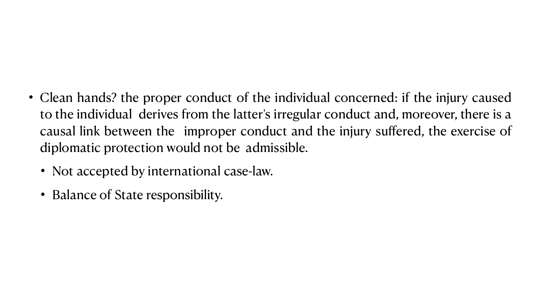• Clean hands? the proper conduct of the individual concerned: if the injury caused to the individual derives from the latter's irregular conduct and, moreover, there is a causal link between the improper conduct and the injury suffered, the exercise of

- diplomatic protection would not be admissible.
	- Not accepted by international case-law.
	- Balance of State responsibility.

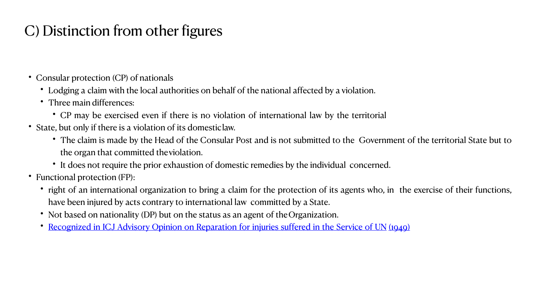• The claim is made by the Head of the Consular Post and is not submitted to the Government of the territorial State but to

• right of an international organization to bring a claim for the protection of its agents who, in the exercise of their functions,



## C) Distinction from other figures

- Consular protection (CP) of nationals
	- Lodging a claim with the local authorities on behalf of the national affected by a violation.
	- Three main differences:
		- CP may be exercised even if there is no violation of international law by the territorial
- State, but only if there is a violation of its domesticlaw.
	- the organ that committed theviolation.
	- It does not require the prior exhaustion of domestic remedies by the individual concerned.
- Functional protection (FP):
	- have been injured by acts contrary to international law committed by a State.
	- Not based on nationality (DP) but on the status as an agent of the Organization.
	- [Recognized](https://www.icj-cij.org/public/files/case-related/4/004-19490411-ADV-01-00-EN.pdf) [in](https://www.icj-cij.org/public/files/case-related/4/004-19490411-ADV-01-00-EN.pdf) [ICJ](https://www.icj-cij.org/public/files/case-related/4/004-19490411-ADV-01-00-EN.pdf) [Advisory](https://www.icj-cij.org/public/files/case-related/4/004-19490411-ADV-01-00-EN.pdf) [Opinion](https://www.icj-cij.org/public/files/case-related/4/004-19490411-ADV-01-00-EN.pdf) [on](https://www.icj-cij.org/public/files/case-related/4/004-19490411-ADV-01-00-EN.pdf) [Reparation](https://www.icj-cij.org/public/files/case-related/4/004-19490411-ADV-01-00-EN.pdf) [for](https://www.icj-cij.org/public/files/case-related/4/004-19490411-ADV-01-00-EN.pdf) [injuries](https://www.icj-cij.org/public/files/case-related/4/004-19490411-ADV-01-00-EN.pdf) [suffered](https://www.icj-cij.org/public/files/case-related/4/004-19490411-ADV-01-00-EN.pdf) in [the](https://www.icj-cij.org/public/files/case-related/4/004-19490411-ADV-01-00-EN.pdf) [Service](https://www.icj-cij.org/public/files/case-related/4/004-19490411-ADV-01-00-EN.pdf) [of](https://www.icj-cij.org/public/files/case-related/4/004-19490411-ADV-01-00-EN.pdf) [UN](https://www.icj-cij.org/public/files/case-related/4/004-19490411-ADV-01-00-EN.pdf) [\(1949\)](https://www.icj-cij.org/public/files/case-related/4/004-19490411-ADV-01-00-EN.pdf)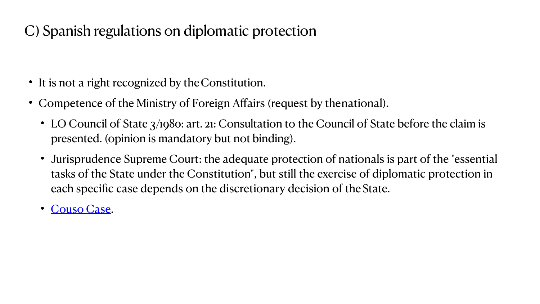- It is not a right recognized by the Constitution.
- Competence of the Ministry of Foreign Affairs (request by thenational).
	- LO Council of State 3/1980: art. 21: Consultation to the Council of State before the claim is presented. (opinion is mandatory but not binding).
	- Jurisprudence Supreme Court: the adequate protection of nationals is part of the "essential tasks of the State under the Constitution", but still the exercise of diplomatic protection in each specific case depends on the discretionary decision of the State.
	- [Couso](https://www.poderjudicial.es/search/openDocument/d3da9aa06788aeec) [Case](https://www.poderjudicial.es/search/openDocument/d3da9aa06788aeec).

### C) Spanish regulations on diplomatic protection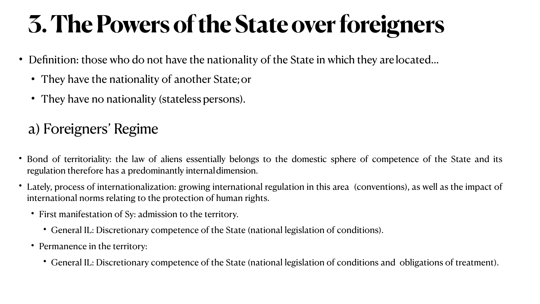• Bond of territoriality: the law of aliens essentially belongs to the domestic sphere of competence of the State and its

- regulation therefore has a predominantly internaldimension.
- international norms relating to the protection of human rights.
	- First manifestation of Sy: admission to the territory.
		- General IL: Discretionary competence of the State (national legislation of conditions).
	- Permanence in the territory:
		-

• Lately, process of internationalization: growing international regulation in this area (conventions), as well as the impact of

• General IL: Discretionary competence of the State (national legislation of conditions and obligations of treatment).

# **3. The Powers of the State over foreigners**

- Definition: those who do not have the nationality of the State in which they are located...
	- They have the nationality of another State;or
	- They have no nationality (stateless persons).

## a) Foreigners' Regime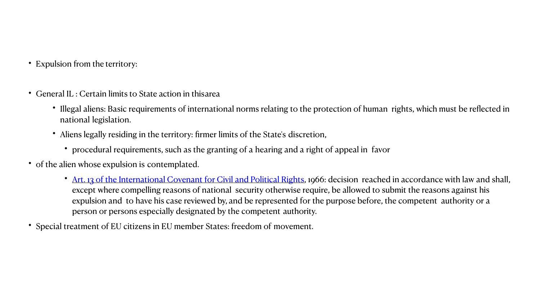• [Art. 13 of the International Covenant for Civil and Political Rights,](https://www.ohchr.org/en/professionalinterest/pages/ccpr.aspx) 1966: decision reached in accordance with law and shall, except where compelling reasons of national security otherwise require, be allowed to submit the reasons against his expulsion and to have his case reviewed by, and be represented for the purpose before, the competent authority or a

- Expulsion from the territory:
- General IL : Certain limits to State action in thisarea
	- national legislation.
	- Aliens legally residing in the territory: firmer limits of the State's discretion,
		- procedural requirements, such as the granting of a hearing and a right of appeal in favor
- of the alien whose expulsion is contemplated.
	- person or persons especially designated by the competent authority.
- Special treatment of EU citizens in EU member States: freedom of movement.

• Illegal aliens: Basic requirements of international norms relating to the protection of human rights, which must be reflected in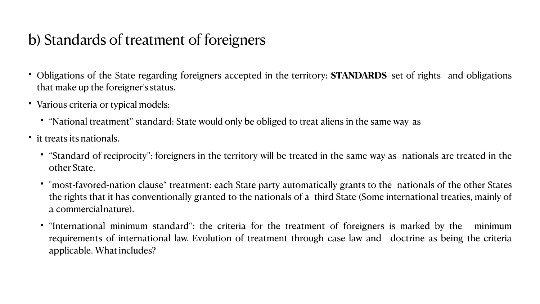• Obligations of the State regarding foreigners accepted in the territory: **STANDARDS**–set of rights and obligations

- that make up the foreigner's status.
- Various criteria or typical models:
	- "National treatment" standard: State would only be obliged to treat aliens in the same way as
- it treats its nationals.
	- other State.
	- a commercialnature).
	- applicable. What includes?

• "Standard of reciprocity": foreigners in the territory will be treated in the same way as nationals are treated in the

• "most-favored-nation clause" treatment: each State party automatically grants to the nationals of the other States the rights that it has conventionally granted to the nationals of a third State (Some international treaties, mainly of

• "International minimum standard": the criteria for the treatment of foreigners is marked by the minimum requirements of international law. Evolution of treatment through case law and doctrine as being the criteria





### b) Standards of treatment of foreigners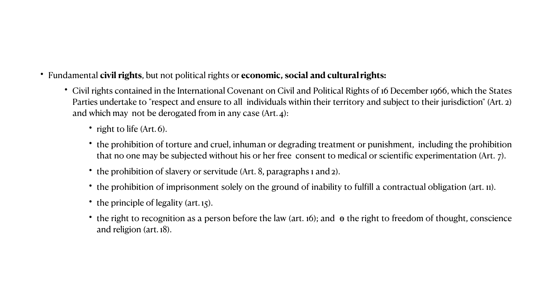• Civil rights contained in the International Covenant on Civil and Political Rights of 16 December 1966, which the States Parties undertake to "respect and ensure to all individuals within their territory and subject to their jurisdiction" (Art. 2)

• the prohibition of torture and cruel, inhuman or degrading treatment or punishment, including the prohibition that no one may be subjected without his or her free consent to medical or scientific experimentation (Art. 7).

• the prohibition of imprisonment solely on the ground of inability to fulfill a contractual obligation (art. 11).

• the right to recognition as a person before the law (art. 16); and  $\Theta$  the right to freedom of thought, conscience



- Fundamental **civil rights**, but not political rights or **economic, social and cultural rights:**
	- and which may not be derogated from in any case (Art.4):
		- right to life (Art. 6).
		-
		- the prohibition of slavery or servitude (Art. 8, paragraphs 1 and 2).
		-
		- the principle of legality (art. 15).
		- and religion (art. 18).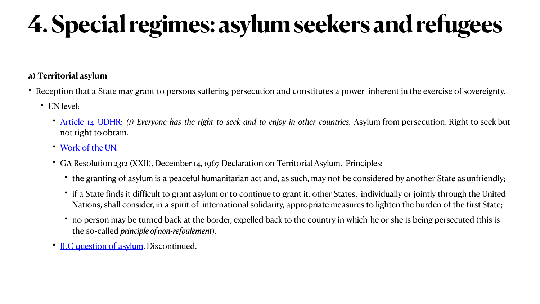### **a) Territorial asylum**

- Reception that a State may grant to persons suffering persecution and constitutes a power inherent in the exercise of sovereignty.
	- UN level:
		- [Article](https://www.un.org/en/universal-declaration-human-rights/) [14](https://www.un.org/en/universal-declaration-human-rights/) [UDHR:](https://www.un.org/en/universal-declaration-human-rights/) *(1) Everyone has the right to seek and to enjoy in other countries.* Asylum from persecution. Right to seek but not right toobtain.
		- [Work of the](https://legal.un.org/avl/ha/dta/dta.html) [UN.](https://legal.un.org/avl/ha/dta/dta.html)
		- GA Resolution 2312 (XXII), December 14, 1967 Declaration on Territorial Asylum. Principles:
			- the granting of asylum is a peaceful humanitarian act and, as such, may not be considered by another State as unfriendly;
			- if a State finds it difficult to grant asylum or to continue to grant it, other States, individually or jointly through the United Nations, shall consider, in a spirit of international solidarity, appropriate measures to lighten the burden of the first State;
			- no person may be turned back at the border, expelled back to the country in which he or she is being persecuted (this is the so-called *principle ofnon-refoulement*).
		- [ILC question of asylum](https://legal.un.org/ilc/summaries/6_2.shtml). Discontinued.

# **4. Special regimes: asylum seekers and refugees**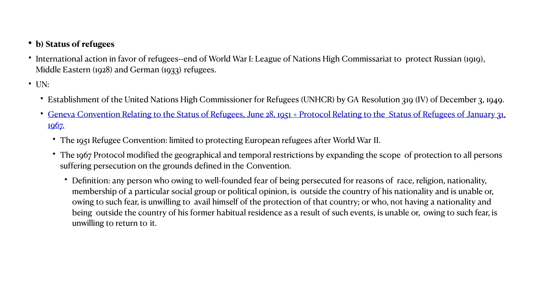• International action in favor of refugees--end of World War I: League of Nations High Commissariat to protect Russian (1919),

•Establishment of the United Nations High Commissioner for Refugees (UNHCR) by GA Resolution 319 (IV) of December 3, 1949. • [Geneva Convention Relating to the Status of Refugees, June 28, 1951 + Protocol Relating to the Status of Refugees of January 31,](https://www.unhcr.org/5d9ed66a4)

• The 1967 Protocol modified the geographical and temporal restrictions by expanding the scope of protection to all persons

- **• b) Status of refugees**
- Middle Eastern (1928) and German (1933) refugees.
- UN:
	-
	- [1967.](https://www.unhcr.org/5d9ed66a4)
		- The 1951 Refugee Convention: limited to protecting European refugees after World War II.
		- suffering persecution on the grounds defined in the Convention.
			- unwilling to return to it.

• Definition: any person who owing to well-founded fear of being persecuted for reasons of race, religion, nationality, membership of a particular social group or political opinion, is outside the country of his nationality and is unable or, owing to such fear, is unwilling to avail himself of the protection of that country; or who, not having a nationality and being outside the country of his former habitual residence as a result of such events, is unable or, owing to such fear, is